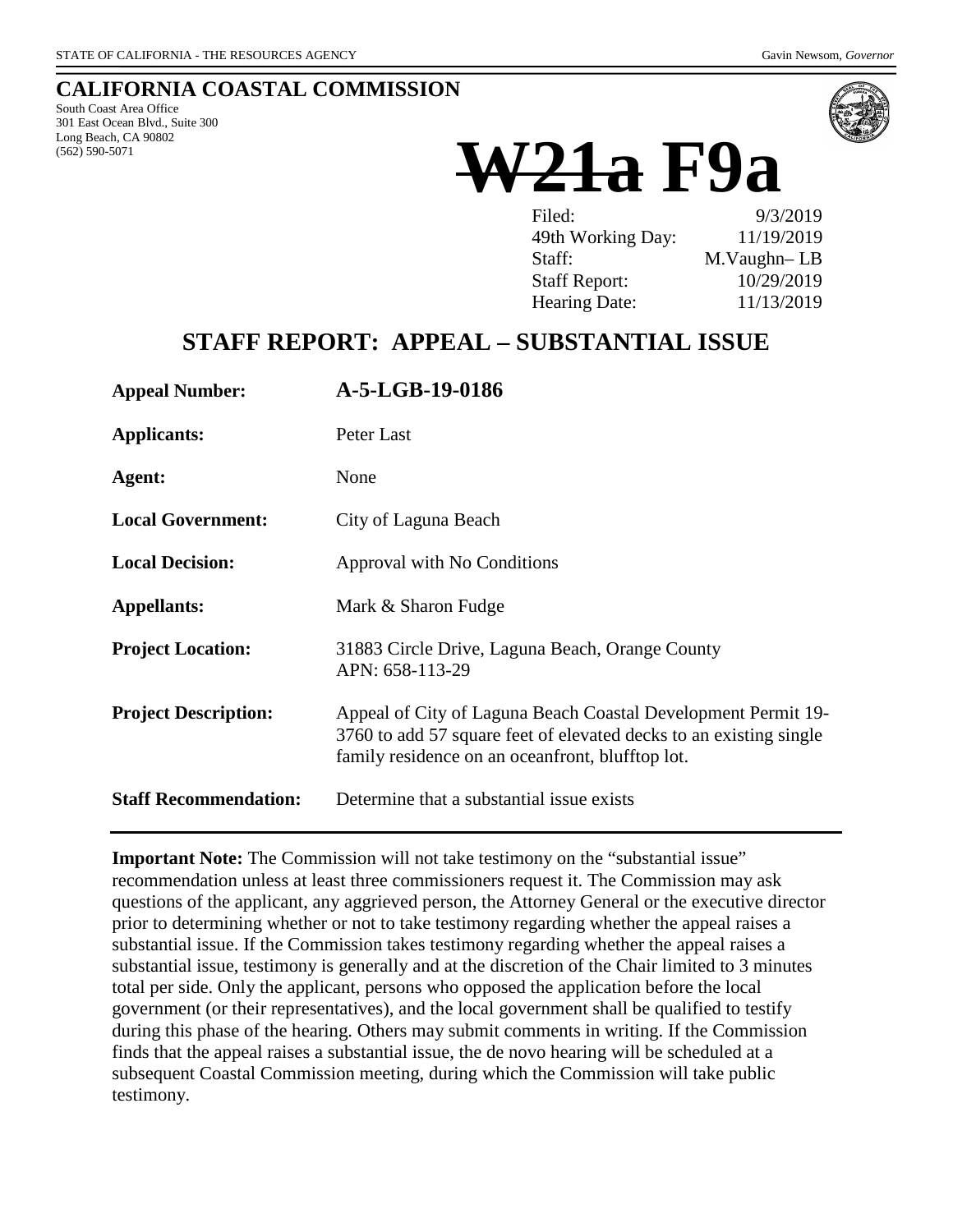## **CALIFORNIA COASTAL COMMISSION**

South Coast Area Office 301 East Ocean Blvd., Suite 300 Long Beach, CA 90802 (562) 590-5071



# **W21a F9a**

| Filed:               | 9/3/2019    |
|----------------------|-------------|
| 49th Working Day:    | 11/19/2019  |
| Staff:               | M.Vaughn-LB |
| <b>Staff Report:</b> | 10/29/2019  |
| Hearing Date:        | 11/13/2019  |

# **STAFF REPORT: APPEAL – SUBSTANTIAL ISSUE**

| <b>Appeal Number:</b>        | A-5-LGB-19-0186                                                                                                                                                                         |
|------------------------------|-----------------------------------------------------------------------------------------------------------------------------------------------------------------------------------------|
| <b>Applicants:</b>           | Peter Last                                                                                                                                                                              |
| Agent:                       | None                                                                                                                                                                                    |
| <b>Local Government:</b>     | City of Laguna Beach                                                                                                                                                                    |
| <b>Local Decision:</b>       | Approval with No Conditions                                                                                                                                                             |
| <b>Appellants:</b>           | Mark & Sharon Fudge                                                                                                                                                                     |
| <b>Project Location:</b>     | 31883 Circle Drive, Laguna Beach, Orange County<br>APN: 658-113-29                                                                                                                      |
| <b>Project Description:</b>  | Appeal of City of Laguna Beach Coastal Development Permit 19-<br>3760 to add 57 square feet of elevated decks to an existing single<br>family residence on an oceanfront, blufftop lot. |
| <b>Staff Recommendation:</b> | Determine that a substantial issue exists                                                                                                                                               |

**Important Note:** The Commission will not take testimony on the "substantial issue" recommendation unless at least three commissioners request it. The Commission may ask questions of the applicant, any aggrieved person, the Attorney General or the executive director prior to determining whether or not to take testimony regarding whether the appeal raises a substantial issue. If the Commission takes testimony regarding whether the appeal raises a substantial issue, testimony is generally and at the discretion of the Chair limited to 3 minutes total per side. Only the applicant, persons who opposed the application before the local government (or their representatives), and the local government shall be qualified to testify during this phase of the hearing. Others may submit comments in writing. If the Commission finds that the appeal raises a substantial issue, the de novo hearing will be scheduled at a subsequent Coastal Commission meeting, during which the Commission will take public testimony.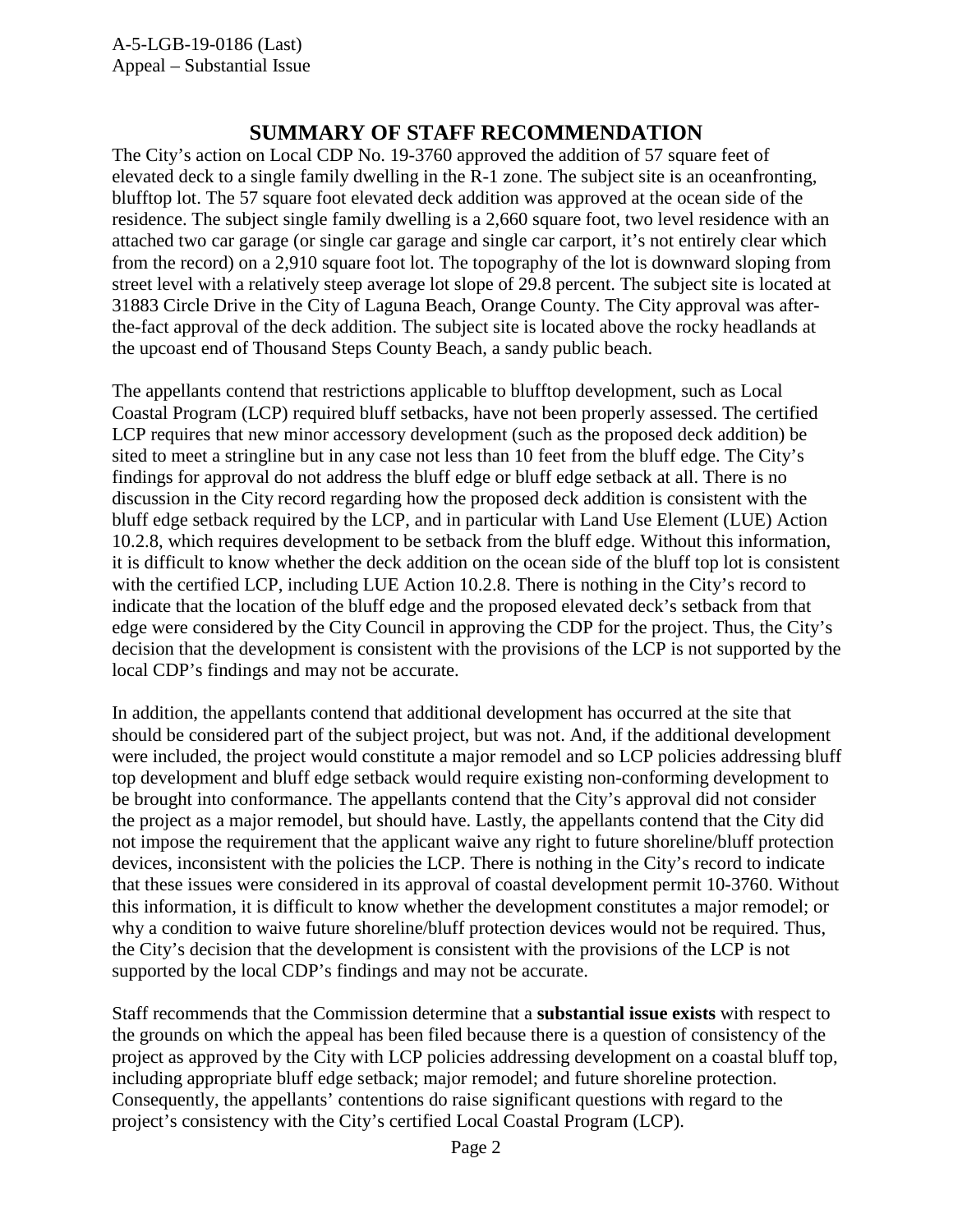## **SUMMARY OF STAFF RECOMMENDATION**

The City's action on Local CDP No. 19-3760 approved the addition of 57 square feet of elevated deck to a single family dwelling in the R-1 zone. The subject site is an oceanfronting, blufftop lot. The 57 square foot elevated deck addition was approved at the ocean side of the residence. The subject single family dwelling is a 2,660 square foot, two level residence with an attached two car garage (or single car garage and single car carport, it's not entirely clear which from the record) on a 2,910 square foot lot. The topography of the lot is downward sloping from street level with a relatively steep average lot slope of 29.8 percent. The subject site is located at 31883 Circle Drive in the City of Laguna Beach, Orange County. The City approval was afterthe-fact approval of the deck addition. The subject site is located above the rocky headlands at the upcoast end of Thousand Steps County Beach, a sandy public beach.

The appellants contend that restrictions applicable to blufftop development, such as Local Coastal Program (LCP) required bluff setbacks, have not been properly assessed. The certified LCP requires that new minor accessory development (such as the proposed deck addition) be sited to meet a stringline but in any case not less than 10 feet from the bluff edge. The City's findings for approval do not address the bluff edge or bluff edge setback at all. There is no discussion in the City record regarding how the proposed deck addition is consistent with the bluff edge setback required by the LCP, and in particular with Land Use Element (LUE) Action 10.2.8, which requires development to be setback from the bluff edge. Without this information, it is difficult to know whether the deck addition on the ocean side of the bluff top lot is consistent with the certified LCP, including LUE Action 10.2.8. There is nothing in the City's record to indicate that the location of the bluff edge and the proposed elevated deck's setback from that edge were considered by the City Council in approving the CDP for the project. Thus, the City's decision that the development is consistent with the provisions of the LCP is not supported by the local CDP's findings and may not be accurate.

In addition, the appellants contend that additional development has occurred at the site that should be considered part of the subject project, but was not. And, if the additional development were included, the project would constitute a major remodel and so LCP policies addressing bluff top development and bluff edge setback would require existing non-conforming development to be brought into conformance. The appellants contend that the City's approval did not consider the project as a major remodel, but should have. Lastly, the appellants contend that the City did not impose the requirement that the applicant waive any right to future shoreline/bluff protection devices, inconsistent with the policies the LCP. There is nothing in the City's record to indicate that these issues were considered in its approval of coastal development permit 10-3760. Without this information, it is difficult to know whether the development constitutes a major remodel; or why a condition to waive future shoreline/bluff protection devices would not be required. Thus, the City's decision that the development is consistent with the provisions of the LCP is not supported by the local CDP's findings and may not be accurate.

Staff recommends that the Commission determine that a **substantial issue exists** with respect to the grounds on which the appeal has been filed because there is a question of consistency of the project as approved by the City with LCP policies addressing development on a coastal bluff top, including appropriate bluff edge setback; major remodel; and future shoreline protection. Consequently, the appellants' contentions do raise significant questions with regard to the project's consistency with the City's certified Local Coastal Program (LCP).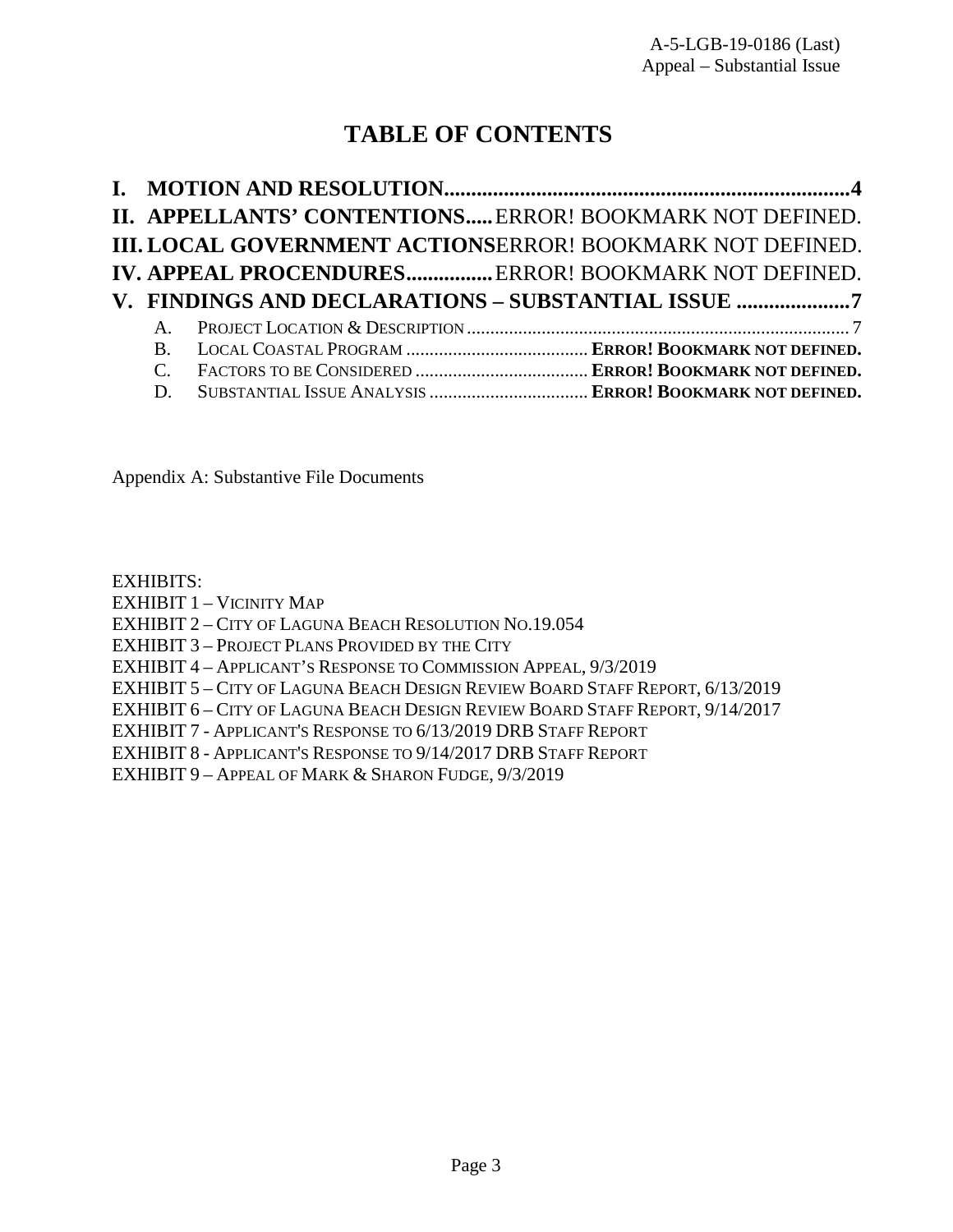# **TABLE OF CONTENTS**

|              | II. APPELLANTS' CONTENTIONS ERROR! BOOKMARK NOT DEFINED.         |
|--------------|------------------------------------------------------------------|
|              | <b>III. LOCAL GOVERNMENT ACTIONSERROR! BOOKMARK NOT DEFINED.</b> |
|              | IV. APPEAL PROCENDURES ERROR! BOOKMARK NOT DEFINED.              |
|              |                                                                  |
|              |                                                                  |
| $\mathbf{A}$ | V. FINDINGS AND DECLARATIONS - SUBSTANTIAL ISSUE 7               |
| $\bf{B}$     |                                                                  |
|              |                                                                  |

Appendix A: Substantive File Documents

[EXHIBITS:](https://documents.coastal.ca.gov/reports/2019/11/W21a/W21a-11-2019-exhibits.pdf)

EXHIBIT 1 – [VICINITY MAP](https://documents.coastal.ca.gov/reports/2019/11/W21a/W21a-11-2019-exhibits.pdf)

EXHIBIT 2 – [CITY OF LAGUNA BEACH RESOLUTION NO.19.054](https://documents.coastal.ca.gov/reports/2019/11/W21a/W21a-11-2019-exhibits.pdf)

EXHIBIT 3 – [PROJECT PLANS PROVIDED BY THE CITY](https://documents.coastal.ca.gov/reports/2019/11/W21a/W21a-11-2019-exhibits.pdf)

EXHIBIT 4 – [APPLICANT'S RESPONSE TO COMMISSION APPEAL,](https://documents.coastal.ca.gov/reports/2019/11/W21a/W21a-11-2019-exhibits.pdf) 9/3/2019

EXHIBIT 5 – [CITY OF LAGUNA BEACH DESIGN REVIEW BOARD STAFF REPORT,](https://documents.coastal.ca.gov/reports/2019/11/W21a/W21a-11-2019-exhibits.pdf) 6/13/2019

EXHIBIT 6 – [CITY OF LAGUNA BEACH DESIGN REVIEW BOARD STAFF REPORT,](https://documents.coastal.ca.gov/reports/2019/11/W21a/W21a-11-2019-exhibits.pdf) 9/14/2017

EXHIBIT 7 - [APPLICANT'S RESPONSE TO 6/13/2019](https://documents.coastal.ca.gov/reports/2019/11/W21a/W21a-11-2019-exhibits.pdf) DRB STAFF REPORT

EXHIBIT 8 - [APPLICANT'S RESPONSE TO 9/14/2017](https://documents.coastal.ca.gov/reports/2019/11/W21a/W21a-11-2019-exhibits.pdf) DRB STAFF REPORT

EXHIBIT 9 – [APPEAL OF MARK &](https://documents.coastal.ca.gov/reports/2019/11/W21a/W21a-11-2019-exhibits.pdf) SHARON FUDGE, 9/3/2019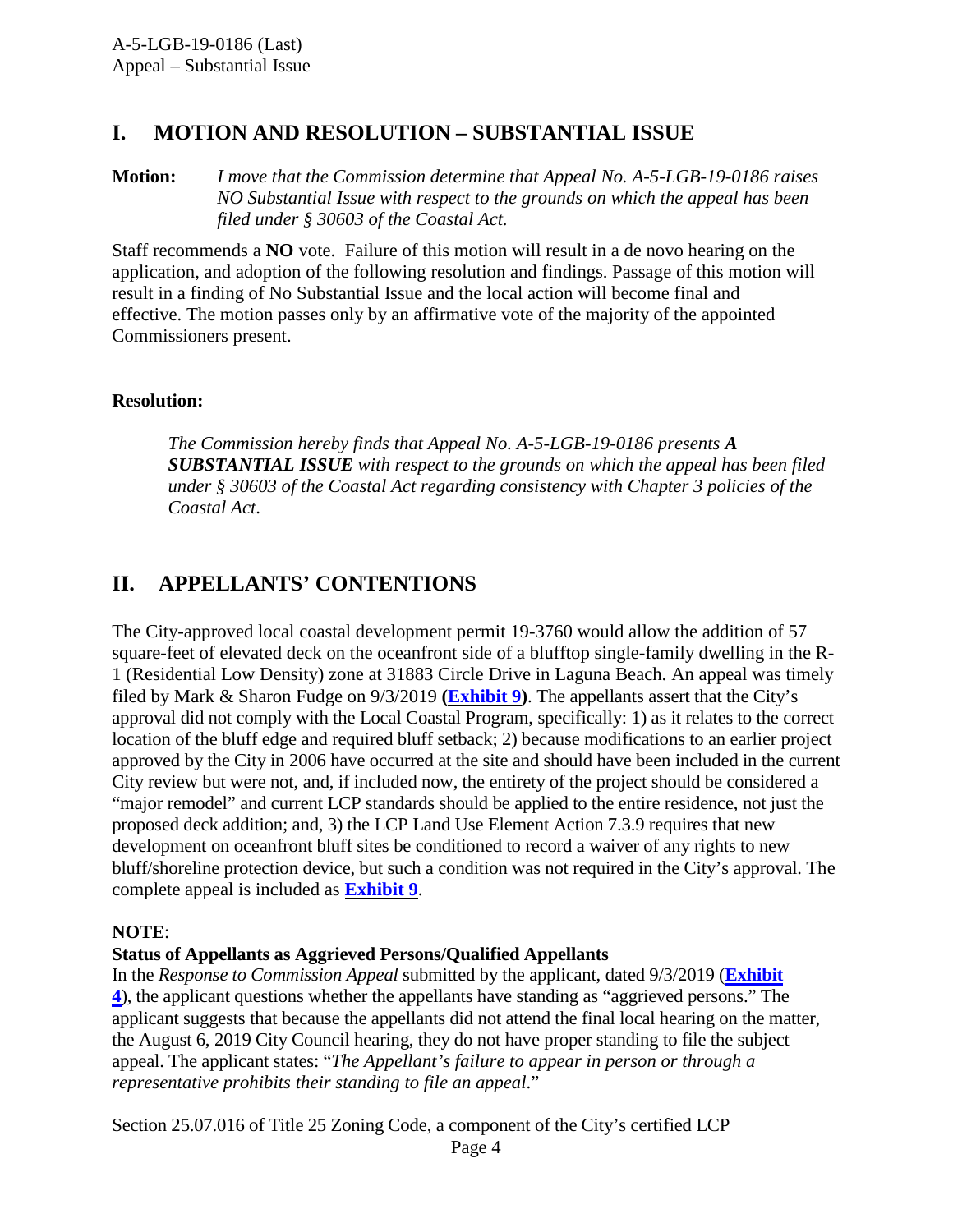# **I. MOTION AND RESOLUTION – SUBSTANTIAL ISSUE**

**Motion:** *I move that the Commission determine that Appeal No. A-5-LGB-19-0186 raises NO Substantial Issue with respect to the grounds on which the appeal has been filed under § 30603 of the Coastal Act.*

Staff recommends a **NO** vote. Failure of this motion will result in a de novo hearing on the application, and adoption of the following resolution and findings. Passage of this motion will result in a finding of No Substantial Issue and the local action will become final and effective. The motion passes only by an affirmative vote of the majority of the appointed Commissioners present.

#### **Resolution:**

*The Commission hereby finds that Appeal No. A-5-LGB-19-0186 presents A SUBSTANTIAL ISSUE with respect to the grounds on which the appeal has been filed under § 30603 of the Coastal Act regarding consistency with Chapter 3 policies of the Coastal Act*.

# **II. APPELLANTS' CONTENTIONS**

The City-approved local coastal development permit 19-3760 would allow the addition of 57 square-feet of elevated deck on the oceanfront side of a blufftop single-family dwelling in the R-1 (Residential Low Density) zone at 31883 Circle Drive in Laguna Beach. An appeal was timely filed by Mark & Sharon Fudge on 9/3/2019 **[\(Exhibit](https://documents.coastal.ca.gov/reports/2019/11/W21a/W21a-11-2019-exhibits.pdf) 9)**. The appellants assert that the City's approval did not comply with the Local Coastal Program, specifically: 1) as it relates to the correct location of the bluff edge and required bluff setback; 2) because modifications to an earlier project approved by the City in 2006 have occurred at the site and should have been included in the current City review but were not, and, if included now, the entirety of the project should be considered a "major remodel" and current LCP standards should be applied to the entire residence, not just the proposed deck addition; and, 3) the LCP Land Use Element Action 7.3.9 requires that new development on oceanfront bluff sites be conditioned to record a waiver of any rights to new bluff/shoreline protection device, but such a condition was not required in the City's approval. The complete appeal is included as **[Exhibit](https://documents.coastal.ca.gov/reports/2019/11/W21a/W21a-11-2019-exhibits.pdf) 9**.

#### **NOTE**:

#### **Status of Appellants as Aggrieved Persons/Qualified Appellants**

In the *Response to Commission Appeal* submitted by the applicant, dated 9/3/2019 (**[Exhibit](https://documents.coastal.ca.gov/reports/2019/11/W21a/W21a-11-2019-exhibits.pdf)  [4](https://documents.coastal.ca.gov/reports/2019/11/W21a/W21a-11-2019-exhibits.pdf)**), the applicant questions whether the appellants have standing as "aggrieved persons." The applicant suggests that because the appellants did not attend the final local hearing on the matter, the August 6, 2019 City Council hearing, they do not have proper standing to file the subject appeal. The applicant states: "*The Appellant's failure to appear in person or through a representative prohibits their standing to file an appeal*."

Section 25.07.016 of Title 25 Zoning Code, a component of the City's certified LCP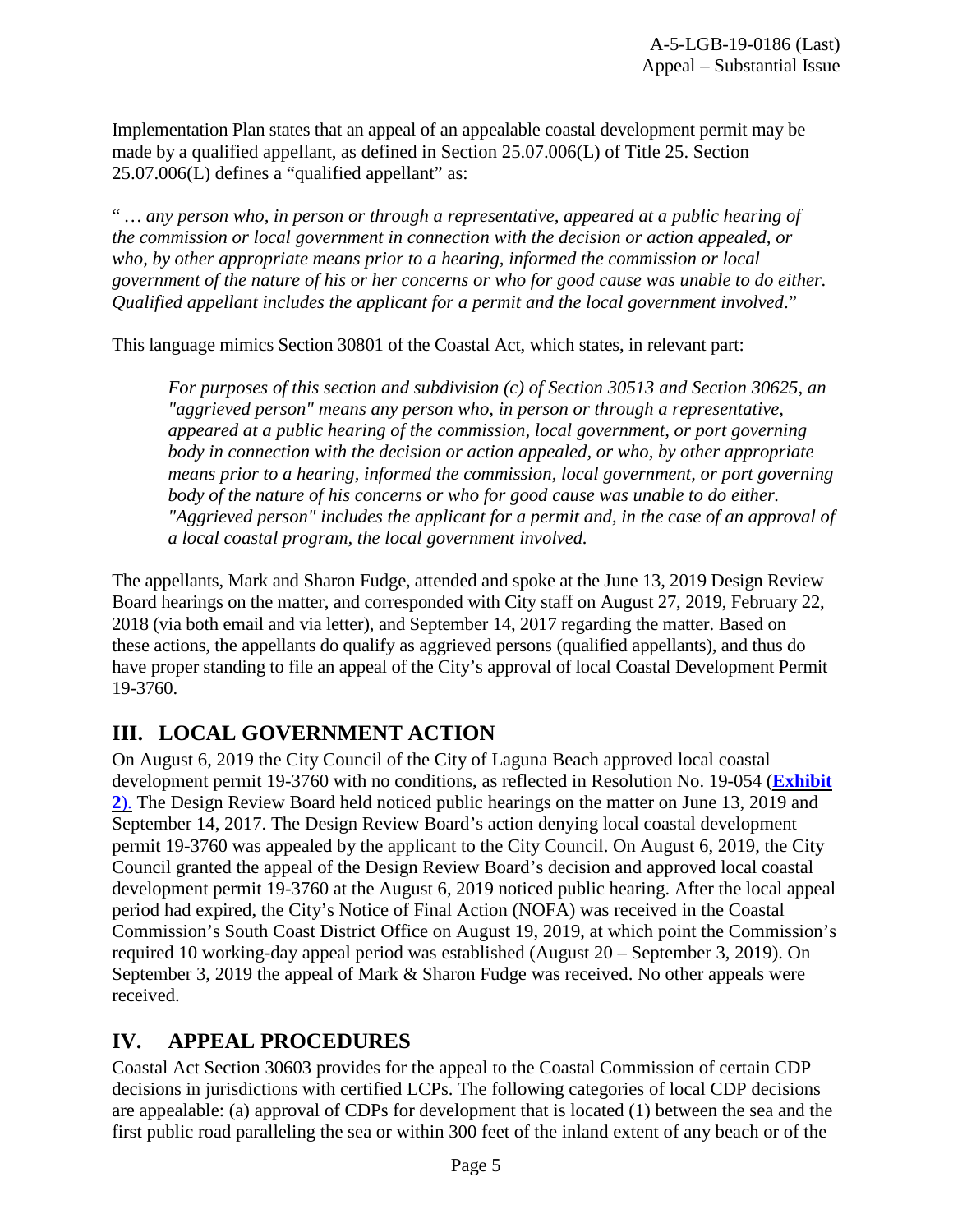Implementation Plan states that an appeal of an appealable coastal development permit may be made by a qualified appellant, as defined in Section 25.07.006(L) of Title 25. Section 25.07.006(L) defines a "qualified appellant" as:

" *… any person who, in person or through a representative, appeared at a public hearing of the commission or local government in connection with the decision or action appealed, or who, by other appropriate means prior to a hearing, informed the commission or local government of the nature of his or her concerns or who for good cause was unable to do either. Qualified appellant includes the applicant for a permit and the local government involved*."

This language mimics Section 30801 of the Coastal Act, which states, in relevant part:

*For purposes of this section and subdivision (c) of Section 30513 and Section 30625, an "aggrieved person" means any person who, in person or through a representative, appeared at a public hearing of the commission, local government, or port governing body in connection with the decision or action appealed, or who, by other appropriate means prior to a hearing, informed the commission, local government, or port governing body of the nature of his concerns or who for good cause was unable to do either. "Aggrieved person" includes the applicant for a permit and, in the case of an approval of a local coastal program, the local government involved.*

The appellants, Mark and Sharon Fudge, attended and spoke at the June 13, 2019 Design Review Board hearings on the matter, and corresponded with City staff on August 27, 2019, February 22, 2018 (via both email and via letter), and September 14, 2017 regarding the matter. Based on these actions, the appellants do qualify as aggrieved persons (qualified appellants), and thus do have proper standing to file an appeal of the City's approval of local Coastal Development Permit 19-3760.

# **III. LOCAL GOVERNMENT ACTION**

On August 6, 2019 the City Council of the City of Laguna Beach approved local coastal development permit 19-3760 with no conditions, as reflected in Resolution No. 19-054 (**[Exhibit](https://documents.coastal.ca.gov/reports/2019/11/W21a/W21a-11-2019-exhibits.pdf) 2**[\).](https://documents.coastal.ca.gov/reports/2019/11/W21a/W21a-11-2019-exhibits.pdf) The Design Review Board held noticed public hearings on the matter on June 13, 2019 and September 14, 2017. The Design Review Board's action denying local coastal development permit 19-3760 was appealed by the applicant to the City Council. On August 6, 2019, the City Council granted the appeal of the Design Review Board's decision and approved local coastal development permit 19-3760 at the August 6, 2019 noticed public hearing. After the local appeal period had expired, the City's Notice of Final Action (NOFA) was received in the Coastal Commission's South Coast District Office on August 19, 2019, at which point the Commission's required 10 working-day appeal period was established (August 20 – September 3, 2019). On September 3, 2019 the appeal of Mark & Sharon Fudge was received. No other appeals were received.

# **IV. APPEAL PROCEDURES**

Coastal Act Section 30603 provides for the appeal to the Coastal Commission of certain CDP decisions in jurisdictions with certified LCPs. The following categories of local CDP decisions are appealable: (a) approval of CDPs for development that is located (1) between the sea and the first public road paralleling the sea or within 300 feet of the inland extent of any beach or of the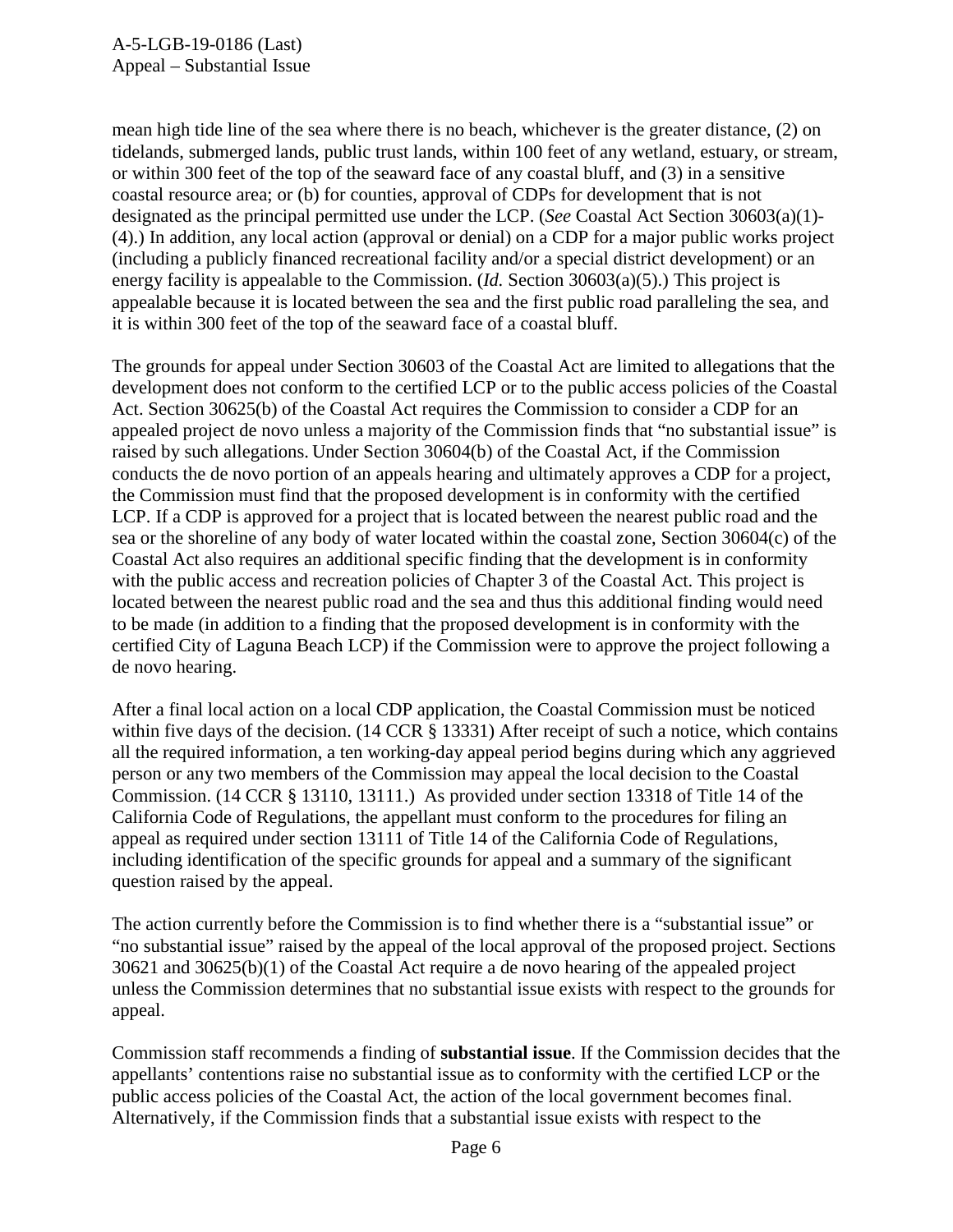mean high tide line of the sea where there is no beach, whichever is the greater distance, (2) on tidelands, submerged lands, public trust lands, within 100 feet of any wetland, estuary, or stream, or within 300 feet of the top of the seaward face of any coastal bluff, and (3) in a sensitive coastal resource area; or (b) for counties, approval of CDPs for development that is not designated as the principal permitted use under the LCP. (*See* Coastal Act Section 30603(a)(1)- (4).) In addition, any local action (approval or denial) on a CDP for a major public works project (including a publicly financed recreational facility and/or a special district development) or an energy facility is appealable to the Commission. (*Id.* Section 30603(a)(5).) This project is appealable because it is located between the sea and the first public road paralleling the sea, and it is within 300 feet of the top of the seaward face of a coastal bluff.

The grounds for appeal under Section 30603 of the Coastal Act are limited to allegations that the development does not conform to the certified LCP or to the public access policies of the Coastal Act. Section 30625(b) of the Coastal Act requires the Commission to consider a CDP for an appealed project de novo unless a majority of the Commission finds that "no substantial issue" is raised by such allegations. Under Section 30604(b) of the Coastal Act, if the Commission conducts the de novo portion of an appeals hearing and ultimately approves a CDP for a project, the Commission must find that the proposed development is in conformity with the certified LCP. If a CDP is approved for a project that is located between the nearest public road and the sea or the shoreline of any body of water located within the coastal zone, Section 30604(c) of the Coastal Act also requires an additional specific finding that the development is in conformity with the public access and recreation policies of Chapter 3 of the Coastal Act. This project is located between the nearest public road and the sea and thus this additional finding would need to be made (in addition to a finding that the proposed development is in conformity with the certified City of Laguna Beach LCP) if the Commission were to approve the project following a de novo hearing.

After a final local action on a local CDP application, the Coastal Commission must be noticed within five days of the decision. (14 CCR § 13331) After receipt of such a notice, which contains all the required information, a ten working-day appeal period begins during which any aggrieved person or any two members of the Commission may appeal the local decision to the Coastal Commission. (14 CCR § 13110, 13111.) As provided under section 13318 of Title 14 of the California Code of Regulations, the appellant must conform to the procedures for filing an appeal as required under section 13111 of Title 14 of the California Code of Regulations, including identification of the specific grounds for appeal and a summary of the significant question raised by the appeal.

The action currently before the Commission is to find whether there is a "substantial issue" or "no substantial issue" raised by the appeal of the local approval of the proposed project. Sections 30621 and 30625(b)(1) of the Coastal Act require a de novo hearing of the appealed project unless the Commission determines that no substantial issue exists with respect to the grounds for appeal.

Commission staff recommends a finding of **substantial issue**. If the Commission decides that the appellants' contentions raise no substantial issue as to conformity with the certified LCP or the public access policies of the Coastal Act, the action of the local government becomes final. Alternatively, if the Commission finds that a substantial issue exists with respect to the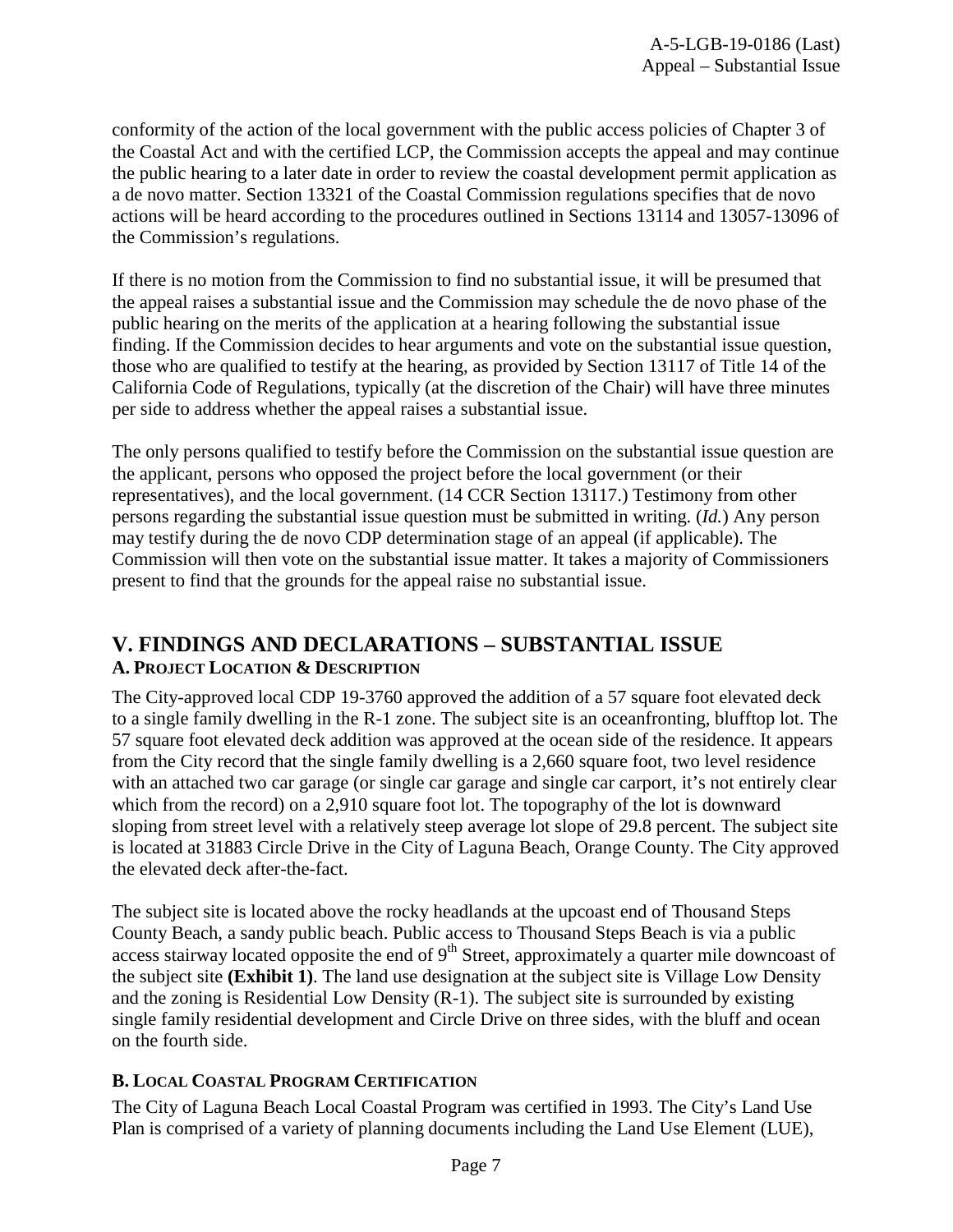conformity of the action of the local government with the public access policies of Chapter 3 of the Coastal Act and with the certified LCP, the Commission accepts the appeal and may continue the public hearing to a later date in order to review the coastal development permit application as a de novo matter. Section 13321 of the Coastal Commission regulations specifies that de novo actions will be heard according to the procedures outlined in Sections 13114 and 13057-13096 of the Commission's regulations.

If there is no motion from the Commission to find no substantial issue, it will be presumed that the appeal raises a substantial issue and the Commission may schedule the de novo phase of the public hearing on the merits of the application at a hearing following the substantial issue finding. If the Commission decides to hear arguments and vote on the substantial issue question, those who are qualified to testify at the hearing, as provided by Section 13117 of Title 14 of the California Code of Regulations, typically (at the discretion of the Chair) will have three minutes per side to address whether the appeal raises a substantial issue.

The only persons qualified to testify before the Commission on the substantial issue question are the applicant, persons who opposed the project before the local government (or their representatives), and the local government. (14 CCR Section 13117.) Testimony from other persons regarding the substantial issue question must be submitted in writing. (*Id.*) Any person may testify during the de novo CDP determination stage of an appeal (if applicable). The Commission will then vote on the substantial issue matter. It takes a majority of Commissioners present to find that the grounds for the appeal raise no substantial issue.

# **V. FINDINGS AND DECLARATIONS – SUBSTANTIAL ISSUE A. PROJECT LOCATION & DESCRIPTION**

The City-approved local CDP 19-3760 approved the addition of a 57 square foot elevated deck to a single family dwelling in the R-1 zone. The subject site is an oceanfronting, blufftop lot. The 57 square foot elevated deck addition was approved at the ocean side of the residence. It appears from the City record that the single family dwelling is a 2,660 square foot, two level residence with an attached two car garage (or single car garage and single car carport, it's not entirely clear which from the record) on a 2,910 square foot lot. The topography of the lot is downward sloping from street level with a relatively steep average lot slope of 29.8 percent. The subject site is located at 31883 Circle Drive in the City of Laguna Beach, Orange County. The City approved the elevated deck after-the-fact.

The subject site is located above the rocky headlands at the upcoast end of Thousand Steps County Beach, a sandy public beach. Public access to Thousand Steps Beach is via a public access stairway located opposite the end of  $9<sup>th</sup>$  Street, approximately a quarter mile downcoast of the subject site **(Exhibit 1)**. The land use designation at the subject site is Village Low Density and the zoning is Residential Low Density (R-1). The subject site is surrounded by existing single family residential development and Circle Drive on three sides, with the bluff and ocean on the fourth side.

#### **B. LOCAL COASTAL PROGRAM CERTIFICATION**

The City of Laguna Beach Local Coastal Program was certified in 1993. The City's Land Use Plan is comprised of a variety of planning documents including the Land Use Element (LUE),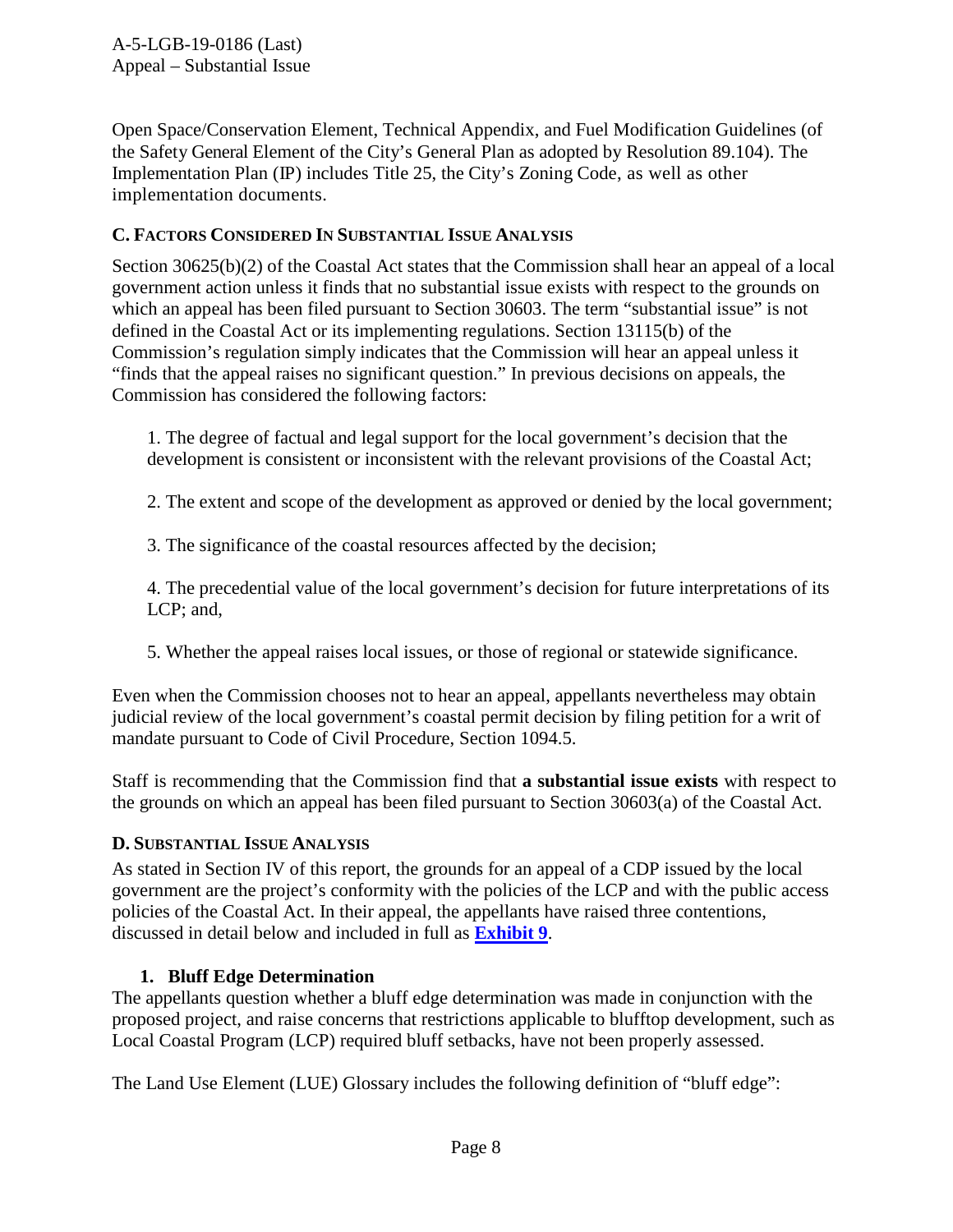Open Space/Conservation Element, Technical Appendix, and Fuel Modification Guidelines (of the Safety General Element of the City's General Plan as adopted by Resolution 89.104). The Implementation Plan (IP) includes Title 25, the City's Zoning Code, as well as other implementation documents.

### **C. FACTORS CONSIDERED IN SUBSTANTIAL ISSUE ANALYSIS**

Section 30625(b)(2) of the Coastal Act states that the Commission shall hear an appeal of a local government action unless it finds that no substantial issue exists with respect to the grounds on which an appeal has been filed pursuant to Section 30603. The term "substantial issue" is not defined in the Coastal Act or its implementing regulations. Section 13115(b) of the Commission's regulation simply indicates that the Commission will hear an appeal unless it "finds that the appeal raises no significant question." In previous decisions on appeals, the Commission has considered the following factors:

1. The degree of factual and legal support for the local government's decision that the development is consistent or inconsistent with the relevant provisions of the Coastal Act;

2. The extent and scope of the development as approved or denied by the local government;

3. The significance of the coastal resources affected by the decision;

4. The precedential value of the local government's decision for future interpretations of its LCP; and,

5. Whether the appeal raises local issues, or those of regional or statewide significance.

Even when the Commission chooses not to hear an appeal, appellants nevertheless may obtain judicial review of the local government's coastal permit decision by filing petition for a writ of mandate pursuant to Code of Civil Procedure, Section 1094.5.

Staff is recommending that the Commission find that **a substantial issue exists** with respect to the grounds on which an appeal has been filed pursuant to Section 30603(a) of the Coastal Act.

# **D. SUBSTANTIAL ISSUE ANALYSIS**

As stated in Section IV of this report, the grounds for an appeal of a CDP issued by the local government are the project's conformity with the policies of the LCP and with the public access policies of the Coastal Act. In their appeal, the appellants have raised three contentions, discussed in detail below and included in full as **[Exhibit 9](https://documents.coastal.ca.gov/reports/2019/11/W21a/W21a-11-2019-exhibits.pdf)**.

#### **1. Bluff Edge Determination**

The appellants question whether a bluff edge determination was made in conjunction with the proposed project, and raise concerns that restrictions applicable to blufftop development, such as Local Coastal Program (LCP) required bluff setbacks, have not been properly assessed.

The Land Use Element (LUE) Glossary includes the following definition of "bluff edge":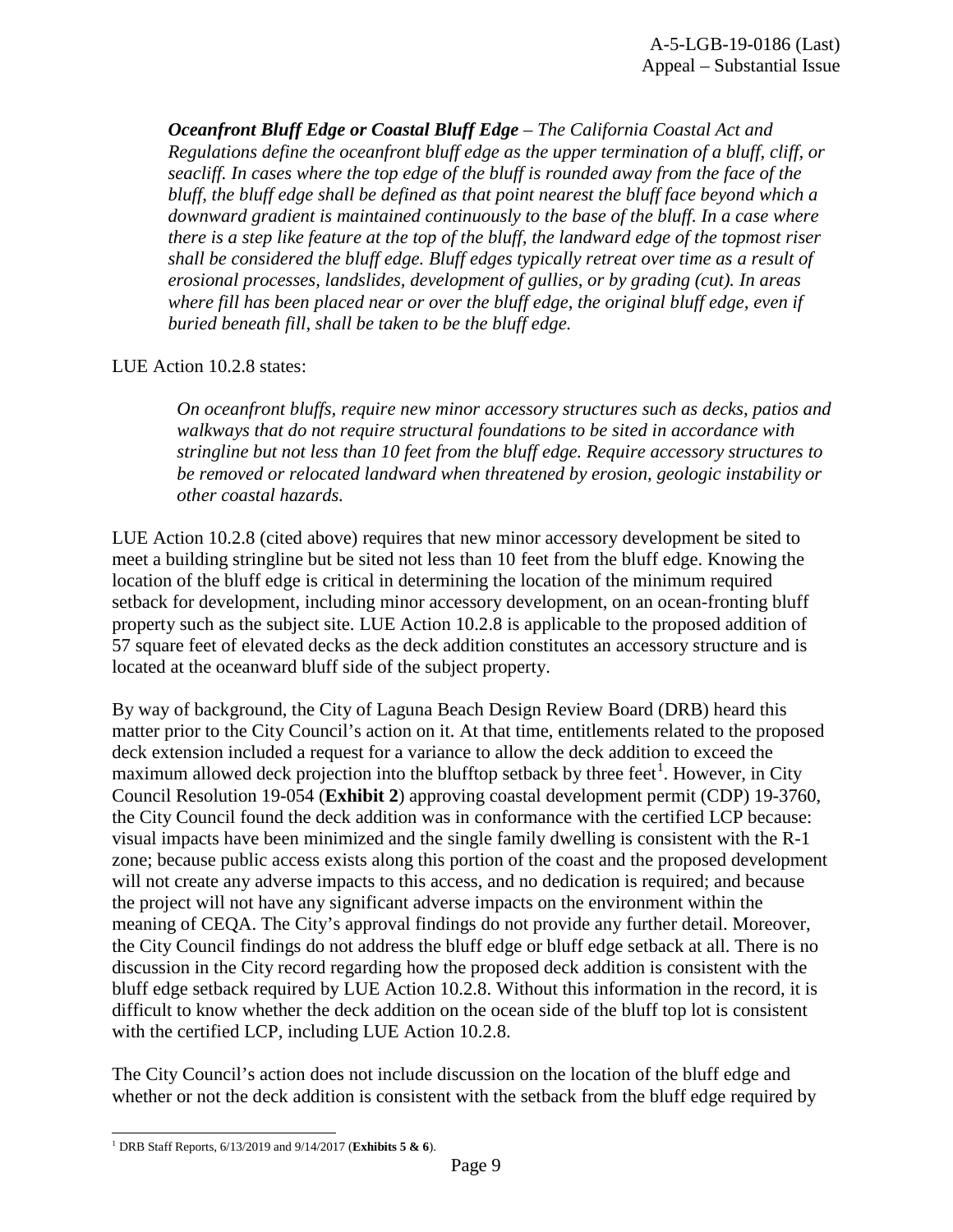*Oceanfront Bluff Edge or Coastal Bluff Edge – The California Coastal Act and Regulations define the oceanfront bluff edge as the upper termination of a bluff, cliff, or seacliff. In cases where the top edge of the bluff is rounded away from the face of the bluff, the bluff edge shall be defined as that point nearest the bluff face beyond which a downward gradient is maintained continuously to the base of the bluff. In a case where there is a step like feature at the top of the bluff, the landward edge of the topmost riser shall be considered the bluff edge. Bluff edges typically retreat over time as a result of erosional processes, landslides, development of gullies, or by grading (cut). In areas where fill has been placed near or over the bluff edge, the original bluff edge, even if buried beneath fill, shall be taken to be the bluff edge.*

#### LUE Action 10.2.8 states:

*On oceanfront bluffs, require new minor accessory structures such as decks, patios and walkways that do not require structural foundations to be sited in accordance with stringline but not less than 10 feet from the bluff edge. Require accessory structures to be removed or relocated landward when threatened by erosion, geologic instability or other coastal hazards.*

LUE Action 10.2.8 (cited above) requires that new minor accessory development be sited to meet a building stringline but be sited not less than 10 feet from the bluff edge. Knowing the location of the bluff edge is critical in determining the location of the minimum required setback for development, including minor accessory development, on an ocean-fronting bluff property such as the subject site. LUE Action 10.2.8 is applicable to the proposed addition of 57 square feet of elevated decks as the deck addition constitutes an accessory structure and is located at the oceanward bluff side of the subject property.

By way of background, the City of Laguna Beach Design Review Board (DRB) heard this matter prior to the City Council's action on it. At that time, entitlements related to the proposed deck extension included a request for a variance to allow the deck addition to exceed the maximum allowed deck projection into the blufftop setback by three feet<sup>[1](#page-8-0)</sup>. However, in City Council Resolution 19-054 (**Exhibit 2**) approving coastal development permit (CDP) 19-3760, the City Council found the deck addition was in conformance with the certified LCP because: visual impacts have been minimized and the single family dwelling is consistent with the R-1 zone; because public access exists along this portion of the coast and the proposed development will not create any adverse impacts to this access, and no dedication is required; and because the project will not have any significant adverse impacts on the environment within the meaning of CEQA. The City's approval findings do not provide any further detail. Moreover, the City Council findings do not address the bluff edge or bluff edge setback at all. There is no discussion in the City record regarding how the proposed deck addition is consistent with the bluff edge setback required by LUE Action 10.2.8. Without this information in the record, it is difficult to know whether the deck addition on the ocean side of the bluff top lot is consistent with the certified LCP, including LUE Action 10.2.8.

The City Council's action does not include discussion on the location of the bluff edge and whether or not the deck addition is consistent with the setback from the bluff edge required by

<span id="page-8-0"></span> <sup>1</sup> DRB Staff Reports, 6/13/2019 and 9/14/2017 (**Exhibits <sup>5</sup> & 6**).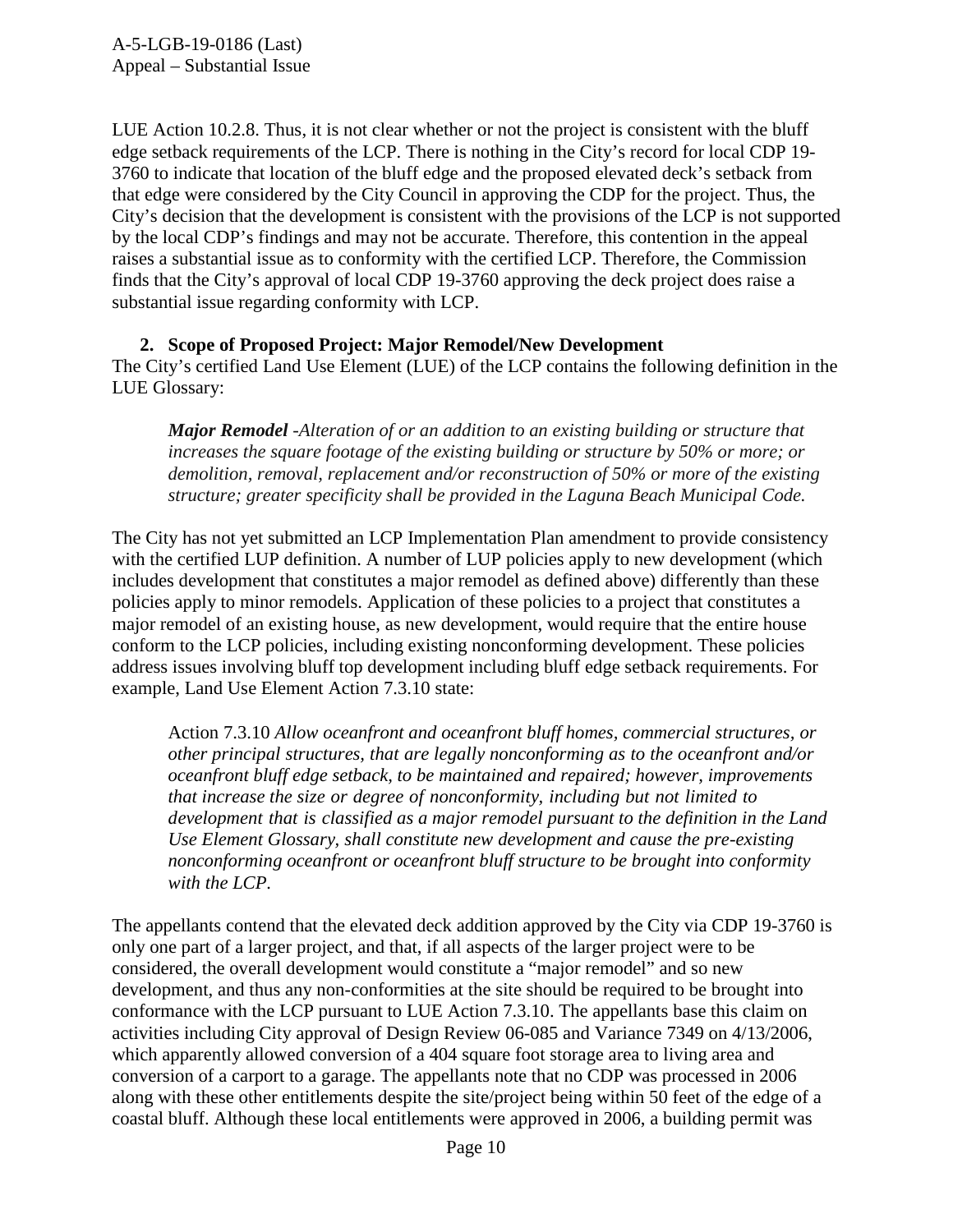LUE Action 10.2.8. Thus, it is not clear whether or not the project is consistent with the bluff edge setback requirements of the LCP. There is nothing in the City's record for local CDP 19- 3760 to indicate that location of the bluff edge and the proposed elevated deck's setback from that edge were considered by the City Council in approving the CDP for the project. Thus, the City's decision that the development is consistent with the provisions of the LCP is not supported by the local CDP's findings and may not be accurate. Therefore, this contention in the appeal raises a substantial issue as to conformity with the certified LCP. Therefore, the Commission finds that the City's approval of local CDP 19-3760 approving the deck project does raise a substantial issue regarding conformity with LCP.

**2. Scope of Proposed Project: Major Remodel/New Development** The City's certified Land Use Element (LUE) of the LCP contains the following definition in the LUE Glossary:

*Major Remodel -Alteration of or an addition to an existing building or structure that increases the square footage of the existing building or structure by 50% or more; or demolition, removal, replacement and/or reconstruction of 50% or more of the existing structure; greater specificity shall be provided in the Laguna Beach Municipal Code.*

The City has not yet submitted an LCP Implementation Plan amendment to provide consistency with the certified LUP definition. A number of LUP policies apply to new development (which includes development that constitutes a major remodel as defined above) differently than these policies apply to minor remodels. Application of these policies to a project that constitutes a major remodel of an existing house, as new development, would require that the entire house conform to the LCP policies, including existing nonconforming development. These policies address issues involving bluff top development including bluff edge setback requirements. For example, Land Use Element Action 7.3.10 state:

Action 7.3.10 *Allow oceanfront and oceanfront bluff homes, commercial structures, or other principal structures, that are legally nonconforming as to the oceanfront and/or oceanfront bluff edge setback, to be maintained and repaired; however, improvements that increase the size or degree of nonconformity, including but not limited to development that is classified as a major remodel pursuant to the definition in the Land Use Element Glossary, shall constitute new development and cause the pre-existing nonconforming oceanfront or oceanfront bluff structure to be brought into conformity with the LCP.*

The appellants contend that the elevated deck addition approved by the City via CDP 19-3760 is only one part of a larger project, and that, if all aspects of the larger project were to be considered, the overall development would constitute a "major remodel" and so new development, and thus any non-conformities at the site should be required to be brought into conformance with the LCP pursuant to LUE Action 7.3.10. The appellants base this claim on activities including City approval of Design Review 06-085 and Variance 7349 on 4/13/2006, which apparently allowed conversion of a 404 square foot storage area to living area and conversion of a carport to a garage. The appellants note that no CDP was processed in 2006 along with these other entitlements despite the site/project being within 50 feet of the edge of a coastal bluff. Although these local entitlements were approved in 2006, a building permit was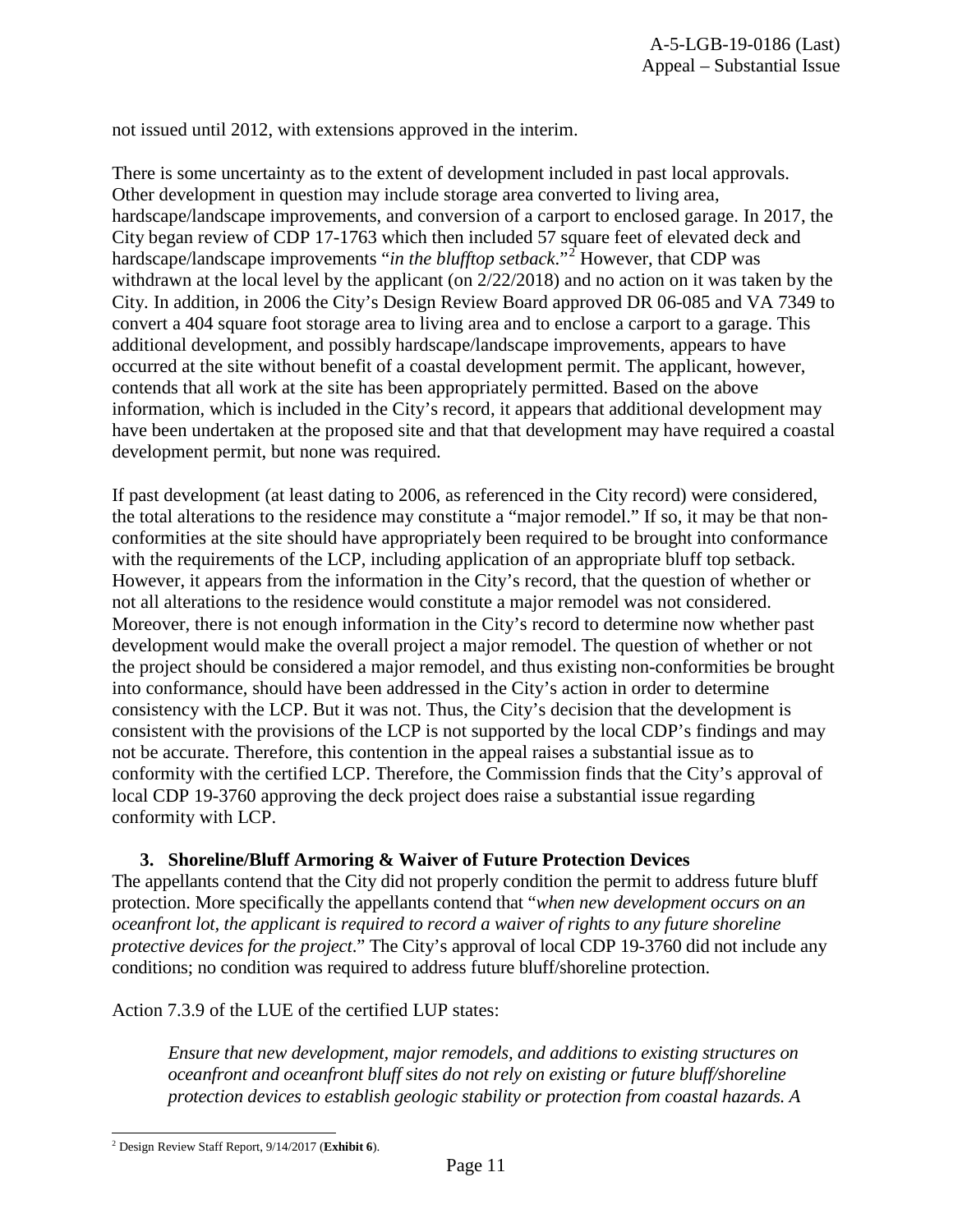not issued until 2012, with extensions approved in the interim.

There is some uncertainty as to the extent of development included in past local approvals. Other development in question may include storage area converted to living area, hardscape/landscape improvements, and conversion of a carport to enclosed garage. In 2017, the City began review of CDP 17-1763 which then included 57 square feet of elevated deck and hardscape/landscape improvements "*in the blufftop setback*."<sup>[2](#page-10-0)</sup> However, that CDP was withdrawn at the local level by the applicant (on 2/22/2018) and no action on it was taken by the City. In addition, in 2006 the City's Design Review Board approved DR 06-085 and VA 7349 to convert a 404 square foot storage area to living area and to enclose a carport to a garage. This additional development, and possibly hardscape/landscape improvements, appears to have occurred at the site without benefit of a coastal development permit. The applicant, however, contends that all work at the site has been appropriately permitted. Based on the above information, which is included in the City's record, it appears that additional development may have been undertaken at the proposed site and that that development may have required a coastal development permit, but none was required.

If past development (at least dating to 2006, as referenced in the City record) were considered, the total alterations to the residence may constitute a "major remodel." If so, it may be that nonconformities at the site should have appropriately been required to be brought into conformance with the requirements of the LCP, including application of an appropriate bluff top setback. However, it appears from the information in the City's record, that the question of whether or not all alterations to the residence would constitute a major remodel was not considered. Moreover, there is not enough information in the City's record to determine now whether past development would make the overall project a major remodel. The question of whether or not the project should be considered a major remodel, and thus existing non-conformities be brought into conformance, should have been addressed in the City's action in order to determine consistency with the LCP. But it was not. Thus, the City's decision that the development is consistent with the provisions of the LCP is not supported by the local CDP's findings and may not be accurate. Therefore, this contention in the appeal raises a substantial issue as to conformity with the certified LCP. Therefore, the Commission finds that the City's approval of local CDP 19-3760 approving the deck project does raise a substantial issue regarding conformity with LCP.

#### **3. Shoreline/Bluff Armoring & Waiver of Future Protection Devices**

The appellants contend that the City did not properly condition the permit to address future bluff protection. More specifically the appellants contend that "*when new development occurs on an oceanfront lot, the applicant is required to record a waiver of rights to any future shoreline protective devices for the project*." The City's approval of local CDP 19-3760 did not include any conditions; no condition was required to address future bluff/shoreline protection.

Action 7.3.9 of the LUE of the certified LUP states:

*Ensure that new development, major remodels, and additions to existing structures on oceanfront and oceanfront bluff sites do not rely on existing or future bluff/shoreline protection devices to establish geologic stability or protection from coastal hazards. A* 

<span id="page-10-0"></span> <sup>2</sup> Design Review Staff Report, 9/14/2017 (**Exhibit 6**).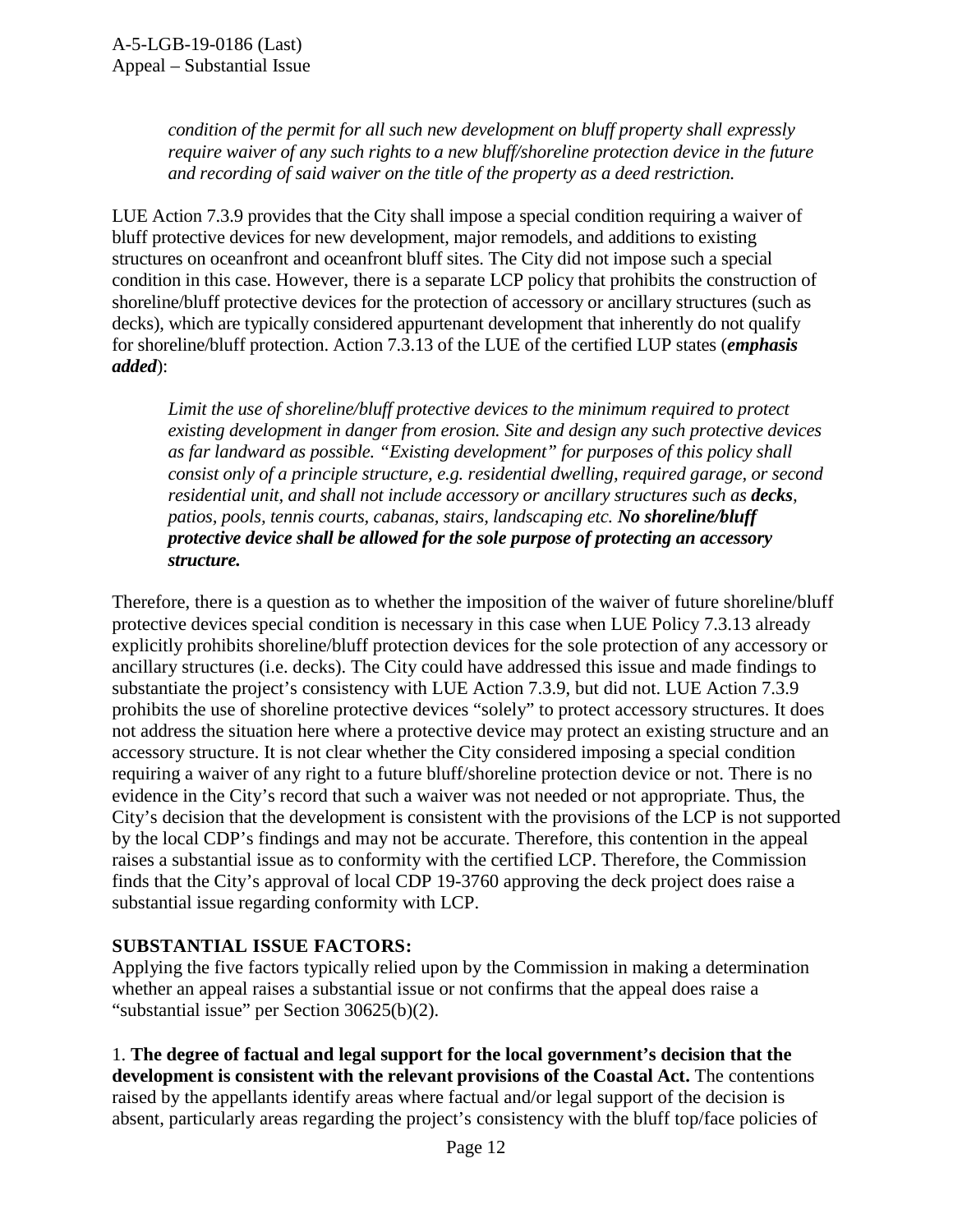*condition of the permit for all such new development on bluff property shall expressly require waiver of any such rights to a new bluff/shoreline protection device in the future and recording of said waiver on the title of the property as a deed restriction.* 

LUE Action 7.3.9 provides that the City shall impose a special condition requiring a waiver of bluff protective devices for new development, major remodels, and additions to existing structures on oceanfront and oceanfront bluff sites. The City did not impose such a special condition in this case. However, there is a separate LCP policy that prohibits the construction of shoreline/bluff protective devices for the protection of accessory or ancillary structures (such as decks), which are typically considered appurtenant development that inherently do not qualify for shoreline/bluff protection. Action 7.3.13 of the LUE of the certified LUP states (*emphasis added*):

*Limit the use of shoreline/bluff protective devices to the minimum required to protect existing development in danger from erosion. Site and design any such protective devices as far landward as possible. "Existing development" for purposes of this policy shall consist only of a principle structure, e.g. residential dwelling, required garage, or second residential unit, and shall not include accessory or ancillary structures such as decks, patios, pools, tennis courts, cabanas, stairs, landscaping etc. No shoreline/bluff protective device shall be allowed for the sole purpose of protecting an accessory structure.* 

Therefore, there is a question as to whether the imposition of the waiver of future shoreline/bluff protective devices special condition is necessary in this case when LUE Policy 7.3.13 already explicitly prohibits shoreline/bluff protection devices for the sole protection of any accessory or ancillary structures (i.e. decks). The City could have addressed this issue and made findings to substantiate the project's consistency with LUE Action 7.3.9, but did not. LUE Action 7.3.9 prohibits the use of shoreline protective devices "solely" to protect accessory structures. It does not address the situation here where a protective device may protect an existing structure and an accessory structure. It is not clear whether the City considered imposing a special condition requiring a waiver of any right to a future bluff/shoreline protection device or not. There is no evidence in the City's record that such a waiver was not needed or not appropriate. Thus, the City's decision that the development is consistent with the provisions of the LCP is not supported by the local CDP's findings and may not be accurate. Therefore, this contention in the appeal raises a substantial issue as to conformity with the certified LCP. Therefore, the Commission finds that the City's approval of local CDP 19-3760 approving the deck project does raise a substantial issue regarding conformity with LCP.

#### **SUBSTANTIAL ISSUE FACTORS:**

Applying the five factors typically relied upon by the Commission in making a determination whether an appeal raises a substantial issue or not confirms that the appeal does raise a "substantial issue" per Section 30625(b)(2).

1. **The degree of factual and legal support for the local government's decision that the development is consistent with the relevant provisions of the Coastal Act.** The contentions raised by the appellants identify areas where factual and/or legal support of the decision is absent, particularly areas regarding the project's consistency with the bluff top/face policies of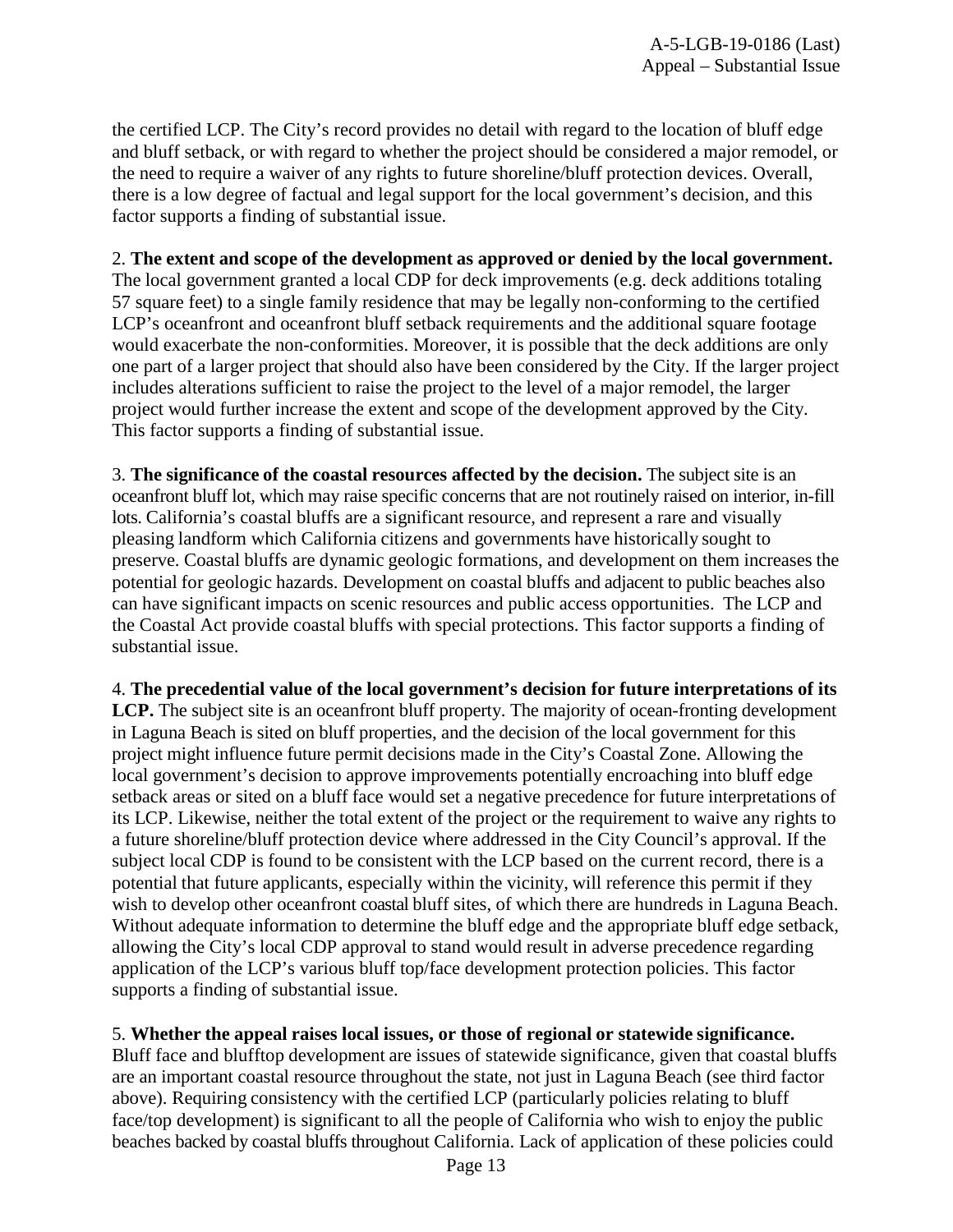the certified LCP. The City's record provides no detail with regard to the location of bluff edge and bluff setback, or with regard to whether the project should be considered a major remodel, or the need to require a waiver of any rights to future shoreline/bluff protection devices. Overall, there is a low degree of factual and legal support for the local government's decision, and this factor supports a finding of substantial issue.

#### 2. **The extent and scope of the development as approved or denied by the local government.**

The local government granted a local CDP for deck improvements (e.g. deck additions totaling 57 square feet) to a single family residence that may be legally non-conforming to the certified LCP's oceanfront and oceanfront bluff setback requirements and the additional square footage would exacerbate the non-conformities. Moreover, it is possible that the deck additions are only one part of a larger project that should also have been considered by the City. If the larger project includes alterations sufficient to raise the project to the level of a major remodel, the larger project would further increase the extent and scope of the development approved by the City. This factor supports a finding of substantial issue.

3. **The significance of the coastal resources affected by the decision.** The subject site is an oceanfront bluff lot, which may raise specific concerns that are not routinely raised on interior, in-fill lots. California's coastal bluffs are a significant resource, and represent a rare and visually pleasing landform which California citizens and governments have historically sought to preserve. Coastal bluffs are dynamic geologic formations, and development on them increases the potential for geologic hazards. Development on coastal bluffs and adjacent to public beaches also can have significant impacts on scenic resources and public access opportunities. The LCP and the Coastal Act provide coastal bluffs with special protections. This factor supports a finding of substantial issue.

4. **The precedential value of the local government's decision for future interpretations of its** LCP. The subject site is an oceanfront bluff property. The majority of ocean-fronting development in Laguna Beach is sited on bluff properties, and the decision of the local government for this project might influence future permit decisions made in the City's Coastal Zone. Allowing the local government's decision to approve improvements potentially encroaching into bluff edge setback areas or sited on a bluff face would set a negative precedence for future interpretations of its LCP. Likewise, neither the total extent of the project or the requirement to waive any rights to a future shoreline/bluff protection device where addressed in the City Council's approval. If the subject local CDP is found to be consistent with the LCP based on the current record, there is a potential that future applicants, especially within the vicinity, will reference this permit if they wish to develop other oceanfront coastal bluff sites, of which there are hundreds in Laguna Beach. Without adequate information to determine the bluff edge and the appropriate bluff edge setback, allowing the City's local CDP approval to stand would result in adverse precedence regarding application of the LCP's various bluff top/face development protection policies. This factor supports a finding of substantial issue.

#### 5. **Whether the appeal raises local issues, or those of regional or statewide significance.**

Bluff face and blufftop development are issues of statewide significance, given that coastal bluffs are an important coastal resource throughout the state, not just in Laguna Beach (see third factor above). Requiring consistency with the certified LCP (particularly policies relating to bluff face/top development) is significant to all the people of California who wish to enjoy the public beaches backed by coastal bluffs throughout California. Lack of application of these policies could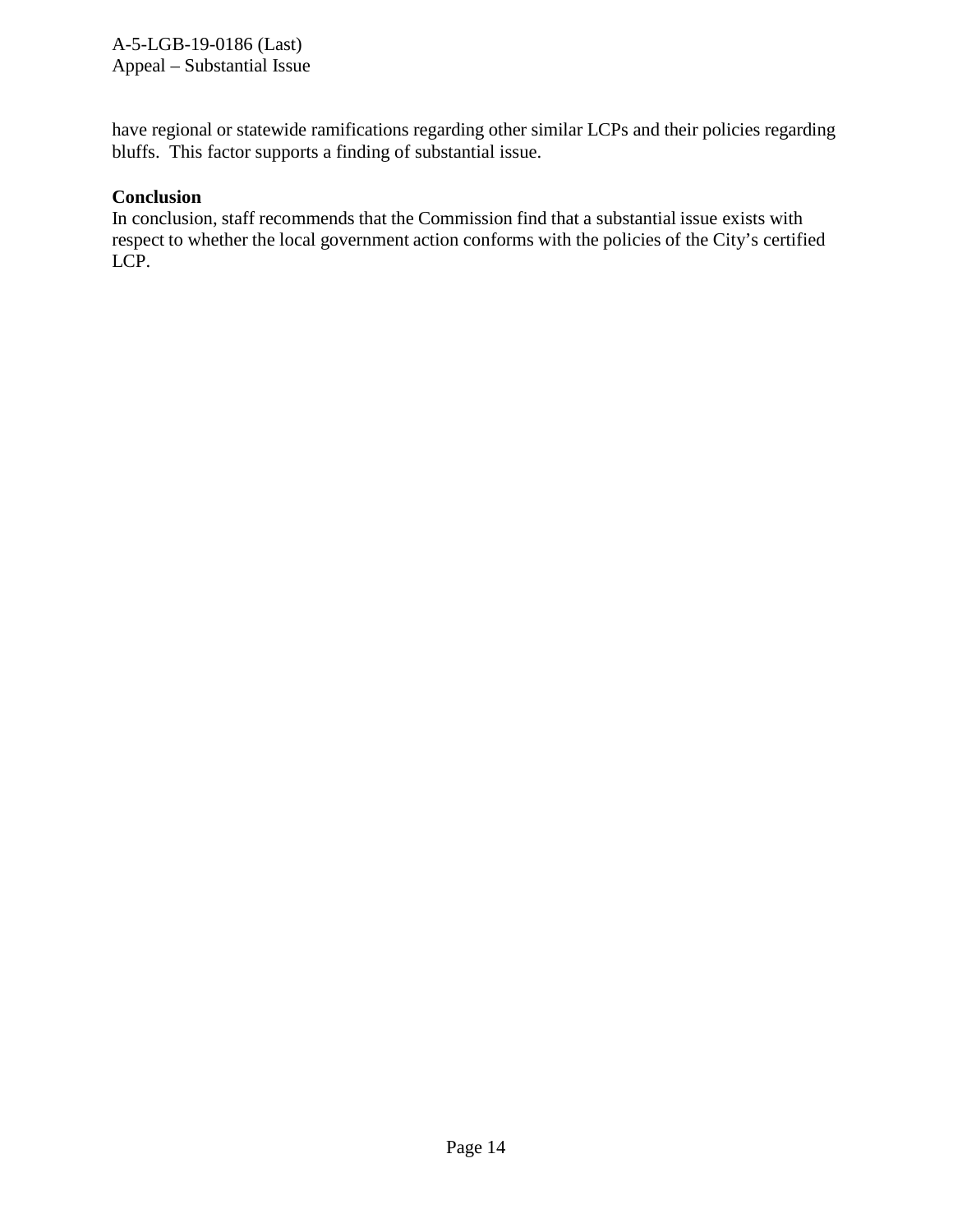A-5-LGB-19-0186 (Last) Appeal – Substantial Issue

have regional or statewide ramifications regarding other similar LCPs and their policies regarding bluffs. This factor supports a finding of substantial issue.

#### **Conclusion**

In conclusion, staff recommends that the Commission find that a substantial issue exists with respect to whether the local government action conforms with the policies of the City's certified LCP.